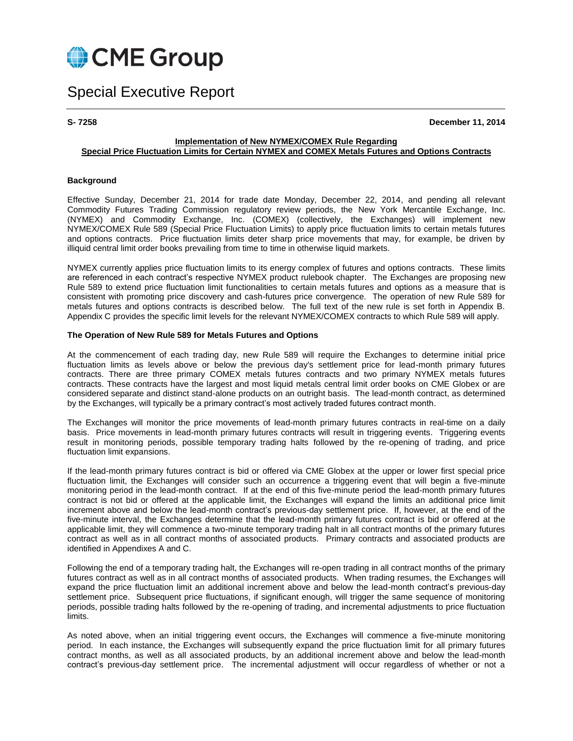

# Special Executive Report

**S- 7258 December 11, 2014**

#### **Implementation of New NYMEX/COMEX Rule Regarding Special Price Fluctuation Limits for Certain NYMEX and COMEX Metals Futures and Options Contracts**

#### **Background**

Effective Sunday, December 21, 2014 for trade date Monday, December 22, 2014, and pending all relevant Commodity Futures Trading Commission regulatory review periods, the New York Mercantile Exchange, Inc. (NYMEX) and Commodity Exchange, Inc. (COMEX) (collectively, the Exchanges) will implement new NYMEX/COMEX Rule 589 (Special Price Fluctuation Limits) to apply price fluctuation limits to certain metals futures and options contracts. Price fluctuation limits deter sharp price movements that may, for example, be driven by illiquid central limit order books prevailing from time to time in otherwise liquid markets.

NYMEX currently applies price fluctuation limits to its energy complex of futures and options contracts. These limits are referenced in each contract's respective NYMEX product rulebook chapter. The Exchanges are proposing new Rule 589 to extend price fluctuation limit functionalities to certain metals futures and options as a measure that is consistent with promoting price discovery and cash-futures price convergence. The operation of new Rule 589 for metals futures and options contracts is described below. The full text of the new rule is set forth in Appendix B. Appendix C provides the specific limit levels for the relevant NYMEX/COMEX contracts to which Rule 589 will apply.

#### **The Operation of New Rule 589 for Metals Futures and Options**

At the commencement of each trading day, new Rule 589 will require the Exchanges to determine initial price fluctuation limits as levels above or below the previous day's settlement price for lead-month primary futures contracts. There are three primary COMEX metals futures contracts and two primary NYMEX metals futures contracts. These contracts have the largest and most liquid metals central limit order books on CME Globex or are considered separate and distinct stand-alone products on an outright basis. The lead-month contract, as determined by the Exchanges, will typically be a primary contract's most actively traded futures contract month.

The Exchanges will monitor the price movements of lead-month primary futures contracts in real-time on a daily basis. Price movements in lead-month primary futures contracts will result in triggering events. Triggering events result in monitoring periods, possible temporary trading halts followed by the re-opening of trading, and price fluctuation limit expansions.

If the lead-month primary futures contract is bid or offered via CME Globex at the upper or lower first special price fluctuation limit, the Exchanges will consider such an occurrence a triggering event that will begin a five-minute monitoring period in the lead-month contract. If at the end of this five-minute period the lead-month primary futures contract is not bid or offered at the applicable limit, the Exchanges will expand the limits an additional price limit increment above and below the lead-month contract's previous-day settlement price. If, however, at the end of the five-minute interval, the Exchanges determine that the lead-month primary futures contract is bid or offered at the applicable limit, they will commence a two-minute temporary trading halt in all contract months of the primary futures contract as well as in all contract months of associated products. Primary contracts and associated products are identified in Appendixes A and C.

Following the end of a temporary trading halt, the Exchanges will re-open trading in all contract months of the primary futures contract as well as in all contract months of associated products. When trading resumes, the Exchanges will expand the price fluctuation limit an additional increment above and below the lead-month contract's previous-day settlement price. Subsequent price fluctuations, if significant enough, will trigger the same sequence of monitoring periods, possible trading halts followed by the re-opening of trading, and incremental adjustments to price fluctuation limits.

As noted above, when an initial triggering event occurs, the Exchanges will commence a five-minute monitoring period. In each instance, the Exchanges will subsequently expand the price fluctuation limit for all primary futures contract months, as well as all associated products, by an additional increment above and below the lead-month contract's previous-day settlement price. The incremental adjustment will occur regardless of whether or not a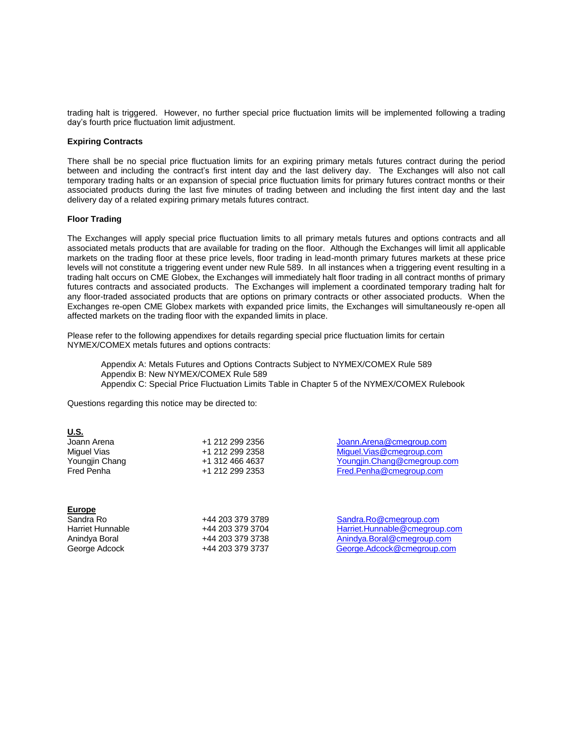trading halt is triggered. However, no further special price fluctuation limits will be implemented following a trading day's fourth price fluctuation limit adjustment.

#### **Expiring Contracts**

There shall be no special price fluctuation limits for an expiring primary metals futures contract during the period between and including the contract's first intent day and the last delivery day. The Exchanges will also not call temporary trading halts or an expansion of special price fluctuation limits for primary futures contract months or their associated products during the last five minutes of trading between and including the first intent day and the last delivery day of a related expiring primary metals futures contract.

#### **Floor Trading**

**U.S.**

**Europe**

The Exchanges will apply special price fluctuation limits to all primary metals futures and options contracts and all associated metals products that are available for trading on the floor. Although the Exchanges will limit all applicable markets on the trading floor at these price levels, floor trading in lead-month primary futures markets at these price levels will not constitute a triggering event under new Rule 589. In all instances when a triggering event resulting in a trading halt occurs on CME Globex, the Exchanges will immediately halt floor trading in all contract months of primary futures contracts and associated products. The Exchanges will implement a coordinated temporary trading halt for any floor-traded associated products that are options on primary contracts or other associated products. When the Exchanges re-open CME Globex markets with expanded price limits, the Exchanges will simultaneously re-open all affected markets on the trading floor with the expanded limits in place.

Please refer to the following appendixes for details regarding special price fluctuation limits for certain NYMEX/COMEX metals futures and options contracts:

Appendix A: Metals Futures and Options Contracts Subject to NYMEX/COMEX Rule 589 Appendix B: New NYMEX/COMEX Rule 589 Appendix C: Special Price Fluctuation Limits Table in Chapter 5 of the NYMEX/COMEX Rulebook

Questions regarding this notice may be directed to:

| <u></u>        |                 |                             |
|----------------|-----------------|-----------------------------|
| Joann Arena    | +1 212 299 2356 | Joann.Arena@cmegroup.com    |
| Miguel Vias    | +1 212 299 2358 | Miquel.Vias@cmegroup.com    |
| Youngjin Chang | +1 312 466 4637 | Youngjin.Chang@cmegroup.com |
| Fred Penha     | +1 212 299 2353 | Fred.Penha@cmegroup.com     |
|                |                 |                             |
|                |                 |                             |

|  | +44 203 379 3789<br>+44 203 379 3704<br>+44 203 379 3738<br>+44 203 379 3737 |
|--|------------------------------------------------------------------------------|

Bandra Ro@cmegroup.com [Harriet.Hunnable@cmegroup.com](mailto:Harriet.Hunnable@cmegroup.com) [Anindya.Boral@cmegroup.com](mailto:Anindya.Boral@cmegroup.com) [George.Adcock@cmegroup.com](mailto:George.Adcock@cmegroup.com)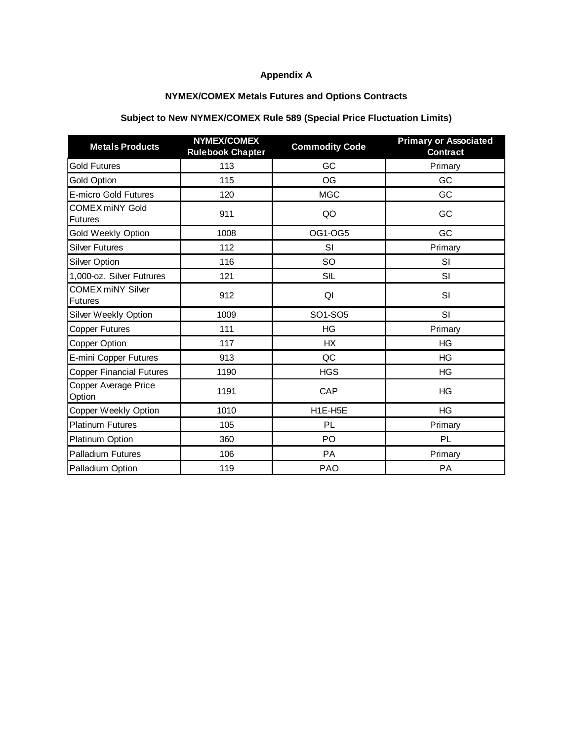## **Appendix A**

# **NYMEX/COMEX Metals Futures and Options Contracts**

# **Subject to New NYMEX/COMEX Rule 589 (Special Price Fluctuation Limits)**

| <b>Metals Products</b>                     | <b>NYMEX/COMEX</b><br><b>Rulebook Chapter</b> | <b>Commodity Code</b> | <b>Primary or Associated</b><br><b>Contract</b> |
|--------------------------------------------|-----------------------------------------------|-----------------------|-------------------------------------------------|
| <b>Gold Futures</b>                        | 113                                           | GC                    | Primary                                         |
| <b>Gold Option</b>                         | 115                                           | <b>OG</b>             | GC                                              |
| <b>E-micro Gold Futures</b>                | 120                                           | <b>MGC</b>            | <b>GC</b>                                       |
| <b>COMEX miNY Gold</b><br><b>Futures</b>   | 911                                           | QO                    | GC                                              |
| <b>Gold Weekly Option</b>                  | 1008                                          | OG1-OG5               | <b>GC</b>                                       |
| <b>Silver Futures</b>                      | 112                                           | SI                    | Primary                                         |
| <b>Silver Option</b>                       | 116                                           | SO                    | SI                                              |
| 1,000-oz. Silver Futrures                  | 121                                           | <b>SIL</b>            | SI                                              |
| <b>COMEX miNY Silver</b><br><b>Futures</b> | 912                                           | QI                    | SI                                              |
| Silver Weekly Option                       | 1009                                          | SO1-SO5               | SI                                              |
| <b>Copper Futures</b>                      | 111                                           | HG                    | Primary                                         |
| <b>Copper Option</b>                       | 117                                           | <b>HX</b>             | HG                                              |
| E-mini Copper Futures                      | 913                                           | QC                    | HG                                              |
| <b>Copper Financial Futures</b>            | 1190                                          | <b>HGS</b>            | HG                                              |
| Copper Average Price<br>Option             | 1191                                          | CAP                   | HG                                              |
| Copper Weekly Option                       | 1010                                          | H1E-H5E               | <b>HG</b>                                       |
| <b>Platinum Futures</b>                    | 105                                           | PL                    | Primary                                         |
| <b>Platinum Option</b>                     | 360                                           | PO                    | PL                                              |
| <b>Palladium Futures</b>                   | 106                                           | <b>PA</b>             | Primary                                         |
| Palladium Option                           | 119                                           | <b>PAO</b>            | PA                                              |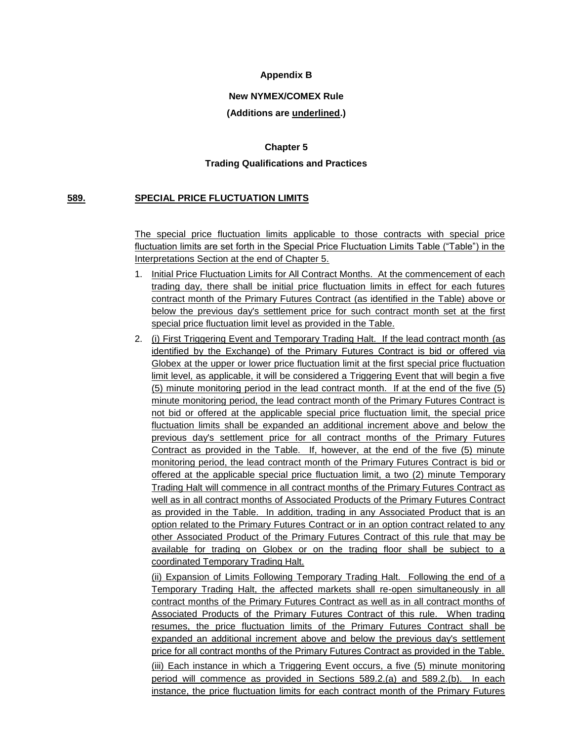#### **Appendix B**

### **New NYMEX/COMEX Rule**

### **(Additions are underlined.)**

#### **Chapter 5**

#### **Trading Qualifications and Practices**

#### **589. SPECIAL PRICE FLUCTUATION LIMITS**

The special price fluctuation limits applicable to those contracts with special price fluctuation limits are set forth in the Special Price Fluctuation Limits Table ("Table") in the Interpretations Section at the end of Chapter 5.

- 1. Initial Price Fluctuation Limits for All Contract Months. At the commencement of each trading day, there shall be initial price fluctuation limits in effect for each futures contract month of the Primary Futures Contract (as identified in the Table) above or below the previous day's settlement price for such contract month set at the first special price fluctuation limit level as provided in the Table.
- 2. (i) First Triggering Event and Temporary Trading Halt. If the lead contract month (as identified by the Exchange) of the Primary Futures Contract is bid or offered via Globex at the upper or lower price fluctuation limit at the first special price fluctuation limit level, as applicable, it will be considered a Triggering Event that will begin a five (5) minute monitoring period in the lead contract month. If at the end of the five (5) minute monitoring period, the lead contract month of the Primary Futures Contract is not bid or offered at the applicable special price fluctuation limit, the special price fluctuation limits shall be expanded an additional increment above and below the previous day's settlement price for all contract months of the Primary Futures Contract as provided in the Table. If, however, at the end of the five (5) minute monitoring period, the lead contract month of the Primary Futures Contract is bid or offered at the applicable special price fluctuation limit, a two (2) minute Temporary Trading Halt will commence in all contract months of the Primary Futures Contract as well as in all contract months of Associated Products of the Primary Futures Contract as provided in the Table. In addition, trading in any Associated Product that is an option related to the Primary Futures Contract or in an option contract related to any other Associated Product of the Primary Futures Contract of this rule that may be available for trading on Globex or on the trading floor shall be subject to a coordinated Temporary Trading Halt.

(ii) Expansion of Limits Following Temporary Trading Halt. Following the end of a Temporary Trading Halt, the affected markets shall re-open simultaneously in all contract months of the Primary Futures Contract as well as in all contract months of Associated Products of the Primary Futures Contract of this rule. When trading resumes, the price fluctuation limits of the Primary Futures Contract shall be expanded an additional increment above and below the previous day's settlement price for all contract months of the Primary Futures Contract as provided in the Table. (iii) Each instance in which a Triggering Event occurs, a five (5) minute monitoring period will commence as provided in Sections 589.2.(a) and 589.2.(b). In each instance, the price fluctuation limits for each contract month of the Primary Futures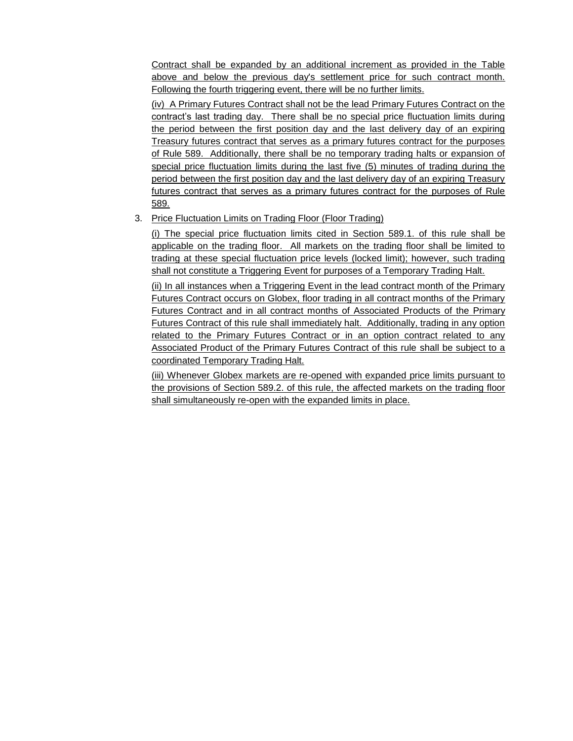Contract shall be expanded by an additional increment as provided in the Table above and below the previous day's settlement price for such contract month. Following the fourth triggering event, there will be no further limits.

(iv) A Primary Futures Contract shall not be the lead Primary Futures Contract on the contract's last trading day. There shall be no special price fluctuation limits during the period between the first position day and the last delivery day of an expiring Treasury futures contract that serves as a primary futures contract for the purposes of Rule 589. Additionally, there shall be no temporary trading halts or expansion of special price fluctuation limits during the last five (5) minutes of trading during the period between the first position day and the last delivery day of an expiring Treasury futures contract that serves as a primary futures contract for the purposes of Rule 589.

### 3. Price Fluctuation Limits on Trading Floor (Floor Trading)

(i) The special price fluctuation limits cited in Section 589.1. of this rule shall be applicable on the trading floor. All markets on the trading floor shall be limited to trading at these special fluctuation price levels (locked limit); however, such trading shall not constitute a Triggering Event for purposes of a Temporary Trading Halt.

(ii) In all instances when a Triggering Event in the lead contract month of the Primary Futures Contract occurs on Globex, floor trading in all contract months of the Primary Futures Contract and in all contract months of Associated Products of the Primary Futures Contract of this rule shall immediately halt. Additionally, trading in any option related to the Primary Futures Contract or in an option contract related to any Associated Product of the Primary Futures Contract of this rule shall be subject to a coordinated Temporary Trading Halt.

(iii) Whenever Globex markets are re-opened with expanded price limits pursuant to the provisions of Section 589.2. of this rule, the affected markets on the trading floor shall simultaneously re-open with the expanded limits in place.